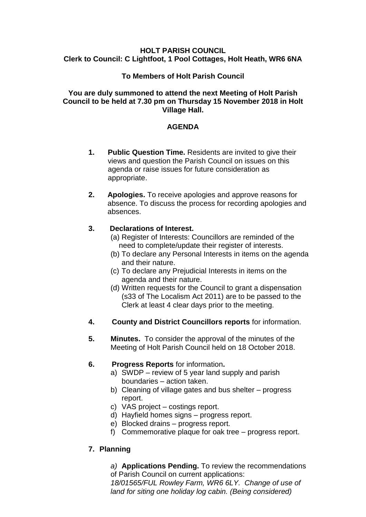## **HOLT PARISH COUNCIL Clerk to Council: C Lightfoot, 1 Pool Cottages, Holt Heath, WR6 6NA**

## **To Members of Holt Parish Council**

## **You are duly summoned to attend the next Meeting of Holt Parish Council to be held at 7.30 pm on Thursday 15 November 2018 in Holt Village Hall.**

# **AGENDA**

- **1. Public Question Time.** Residents are invited to give their views and question the Parish Council on issues on this agenda or raise issues for future consideration as appropriate.
- **2. Apologies.** To receive apologies and approve reasons for absence. To discuss the process for recording apologies and absences.

# **3. Declarations of Interest.**

- (a) Register of Interests: Councillors are reminded of the need to complete/update their register of interests.
- (b) To declare any Personal Interests in items on the agenda and their nature.
- (c) To declare any Prejudicial Interests in items on the agenda and their nature.
- (d) Written requests for the Council to grant a dispensation (s33 of The Localism Act 2011) are to be passed to the Clerk at least 4 clear days prior to the meeting.
- **4. County and District Councillors reports** for information.
- **5. Minutes.** To consider the approval of the minutes of the Meeting of Holt Parish Council held on 18 October 2018.

# **6. Progress Reports** for information**.**

- a) SWDP review of 5 year land supply and parish boundaries – action taken.
- b) Cleaning of village gates and bus shelter progress report.
- c) VAS project costings report.
- d) Hayfield homes signs progress report.
- e) Blocked drains progress report.
- f) Commemorative plaque for oak tree progress report.

# **7. Planning**

*a)* **Applications Pending.** To review the recommendations of Parish Council on current applications:

*18/01565/FUL Rowley Farm, WR6 6LY. Change of use of land for siting one holiday log cabin. (Being considered)*